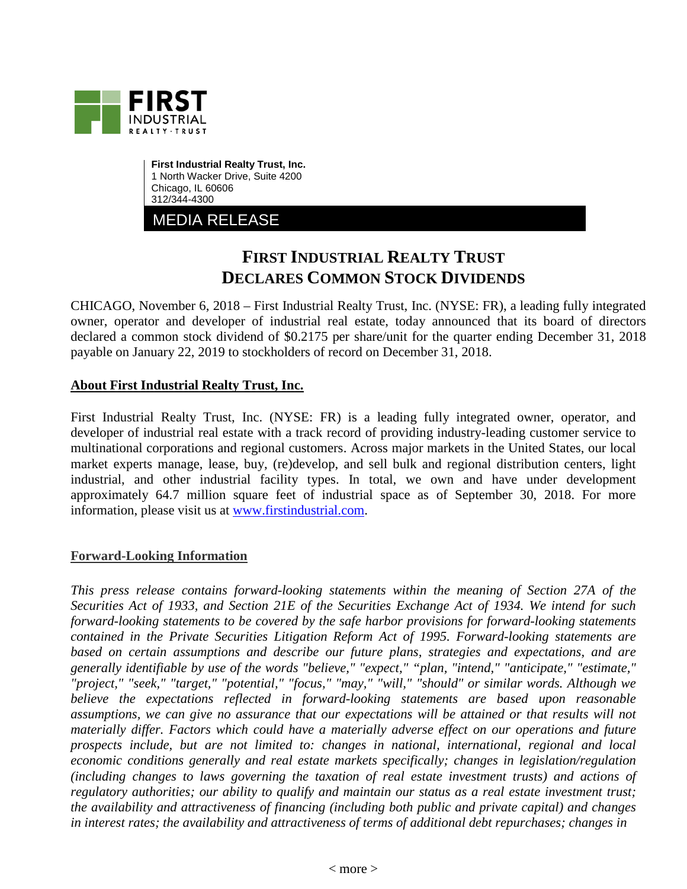

**First Industrial Realty Trust, Inc.** 1 North Wacker Drive, Suite 4200 Chicago, IL 60606 312/344-4300

MEDIA RELEASE

## **FIRST INDUSTRIAL REALTY TRUST DECLARES COMMON STOCK DIVIDENDS**

CHICAGO, November 6, 2018 – First Industrial Realty Trust, Inc. (NYSE: FR), a leading fully integrated owner, operator and developer of industrial real estate, today announced that its board of directors declared a common stock dividend of \$0.2175 per share/unit for the quarter ending December 31, 2018 payable on January 22, 2019 to stockholders of record on December 31, 2018.

## **About First Industrial Realty Trust, Inc.**

First Industrial Realty Trust, Inc. (NYSE: FR) is a leading fully integrated owner, operator, and developer of industrial real estate with a track record of providing industry-leading customer service to multinational corporations and regional customers. Across major markets in the United States, our local market experts manage, lease, buy, (re)develop, and sell bulk and regional distribution centers, light industrial, and other industrial facility types. In total, we own and have under development approximately 64.7 million square feet of industrial space as of September 30, 2018. For more information, please visit us at [www.firstindustrial.com.](http://www.firstindustrial.com/)

## **Forward-Looking Information**

*This press release contains forward-looking statements within the meaning of Section 27A of the Securities Act of 1933, and Section 21E of the Securities Exchange Act of 1934. We intend for such forward-looking statements to be covered by the safe harbor provisions for forward-looking statements contained in the Private Securities Litigation Reform Act of 1995. Forward-looking statements are based on certain assumptions and describe our future plans, strategies and expectations, and are generally identifiable by use of the words "believe," "expect," "plan, "intend," "anticipate," "estimate," "project," "seek," "target," "potential," "focus," "may," "will," "should" or similar words. Although we believe the expectations reflected in forward-looking statements are based upon reasonable assumptions, we can give no assurance that our expectations will be attained or that results will not materially differ. Factors which could have a materially adverse effect on our operations and future prospects include, but are not limited to: changes in national, international, regional and local economic conditions generally and real estate markets specifically; changes in legislation/regulation (including changes to laws governing the taxation of real estate investment trusts) and actions of regulatory authorities; our ability to qualify and maintain our status as a real estate investment trust; the availability and attractiveness of financing (including both public and private capital) and changes in interest rates; the availability and attractiveness of terms of additional debt repurchases; changes in*